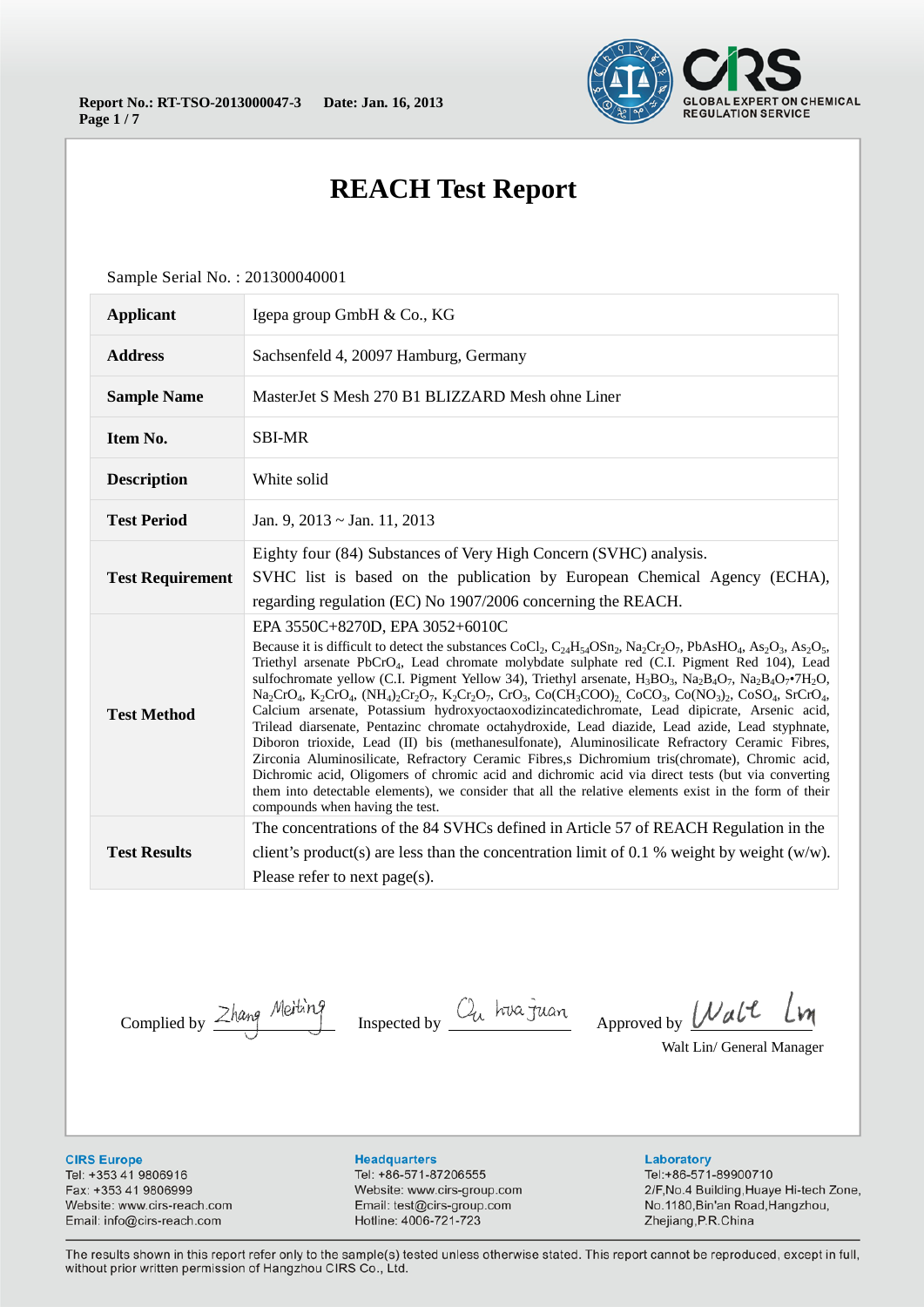

# **REACH Test Report**

Sample Serial No. : 201300040001

| <b>Applicant</b>        | Igepa group GmbH & Co., KG                                                                                                                                                                                                                                                                                                                                                                                                                                                                                                                                                                                                                                                                                                                                                                                                                                                                                                                                                                                                                                                                                                                                                                                                      |
|-------------------------|---------------------------------------------------------------------------------------------------------------------------------------------------------------------------------------------------------------------------------------------------------------------------------------------------------------------------------------------------------------------------------------------------------------------------------------------------------------------------------------------------------------------------------------------------------------------------------------------------------------------------------------------------------------------------------------------------------------------------------------------------------------------------------------------------------------------------------------------------------------------------------------------------------------------------------------------------------------------------------------------------------------------------------------------------------------------------------------------------------------------------------------------------------------------------------------------------------------------------------|
| <b>Address</b>          | Sachsenfeld 4, 20097 Hamburg, Germany                                                                                                                                                                                                                                                                                                                                                                                                                                                                                                                                                                                                                                                                                                                                                                                                                                                                                                                                                                                                                                                                                                                                                                                           |
| <b>Sample Name</b>      | MasterJet S Mesh 270 B1 BLIZZARD Mesh ohne Liner                                                                                                                                                                                                                                                                                                                                                                                                                                                                                                                                                                                                                                                                                                                                                                                                                                                                                                                                                                                                                                                                                                                                                                                |
| Item No.                | <b>SBI-MR</b>                                                                                                                                                                                                                                                                                                                                                                                                                                                                                                                                                                                                                                                                                                                                                                                                                                                                                                                                                                                                                                                                                                                                                                                                                   |
| <b>Description</b>      | White solid                                                                                                                                                                                                                                                                                                                                                                                                                                                                                                                                                                                                                                                                                                                                                                                                                                                                                                                                                                                                                                                                                                                                                                                                                     |
| <b>Test Period</b>      | Jan. 9, $2013 \sim$ Jan. 11, 2013                                                                                                                                                                                                                                                                                                                                                                                                                                                                                                                                                                                                                                                                                                                                                                                                                                                                                                                                                                                                                                                                                                                                                                                               |
| <b>Test Requirement</b> | Eighty four (84) Substances of Very High Concern (SVHC) analysis.<br>SVHC list is based on the publication by European Chemical Agency (ECHA),<br>regarding regulation (EC) No 1907/2006 concerning the REACH.                                                                                                                                                                                                                                                                                                                                                                                                                                                                                                                                                                                                                                                                                                                                                                                                                                                                                                                                                                                                                  |
| <b>Test Method</b>      | EPA 3550C+8270D, EPA 3052+6010C<br>Because it is difficult to detect the substances CoCl <sub>2</sub> , $C_{24}H_{54}OSn_2$ , $Na_2Cr_2O_7$ , $PbAsHO_4$ , $As_2O_3$ , $As_2O_5$ ,<br>Triethyl arsenate PbCrO <sub>4</sub> , Lead chromate molybdate sulphate red (C.I. Pigment Red 104), Lead<br>sulfochromate yellow (C.I. Pigment Yellow 34), Triethyl arsenate, $H_3BO_3$ , $Na_2BaO_7$ , $Na_2BaO_7^{\bullet}TH_2O$ ,<br>$Na_2CrO_4$ , $K_2CrO_4$ , $(NH_4)_2Cr_2O_7$ , $K_2Cr_2O_7$ , $CrO_3$ , $Co(CH_3COO)_2$ , $CoCO_3$ , $Co(NO_3)_2$ , $CoSO_4$ , $SrCrO_4$ ,<br>Calcium arsenate, Potassium hydroxyoctaoxodizincatedichromate, Lead dipicrate, Arsenic acid,<br>Trilead diarsenate, Pentazinc chromate octahydroxide, Lead diazide, Lead azide, Lead styphnate,<br>Diboron trioxide, Lead (II) bis (methanesulfonate), Aluminosilicate Refractory Ceramic Fibres,<br>Zirconia Aluminosilicate, Refractory Ceramic Fibres, Dichromium tris(chromate), Chromic acid,<br>Dichromic acid, Oligomers of chromic acid and dichromic acid via direct tests (but via converting<br>them into detectable elements), we consider that all the relative elements exist in the form of their<br>compounds when having the test. |
| <b>Test Results</b>     | The concentrations of the 84 SVHCs defined in Article 57 of REACH Regulation in the<br>client's product(s) are less than the concentration limit of 0.1 % weight by weight $(w/w)$ .<br>Please refer to next page(s).                                                                                                                                                                                                                                                                                                                                                                                                                                                                                                                                                                                                                                                                                                                                                                                                                                                                                                                                                                                                           |

Complied by  $\frac{\text{Zhang}}{\text{Melting}}$  Inspected by  $\frac{C_u}{\text{Aup}}$  Approved by  $\frac{\text{Walt}}{\text{Aup}}$  $\mathcal{W}$ 

Walt Lin/ General Manager

**CIRS Europe** 

Tel: +353 41 9806916 Fax: +353 41 9806999 Website: www.cirs-reach.com Email: info@cirs-reach.com

#### **Headquarters**

Tel: +86-571-87206555 Website: www.cirs-group.com Email: test@cirs-group.com Hotline: 4006-721-723

Laboratory Tel:+86-571-89900710 2/F, No.4 Building, Huaye Hi-tech Zone, No.1180, Bin'an Road, Hangzhou, Zhejiang, P.R. China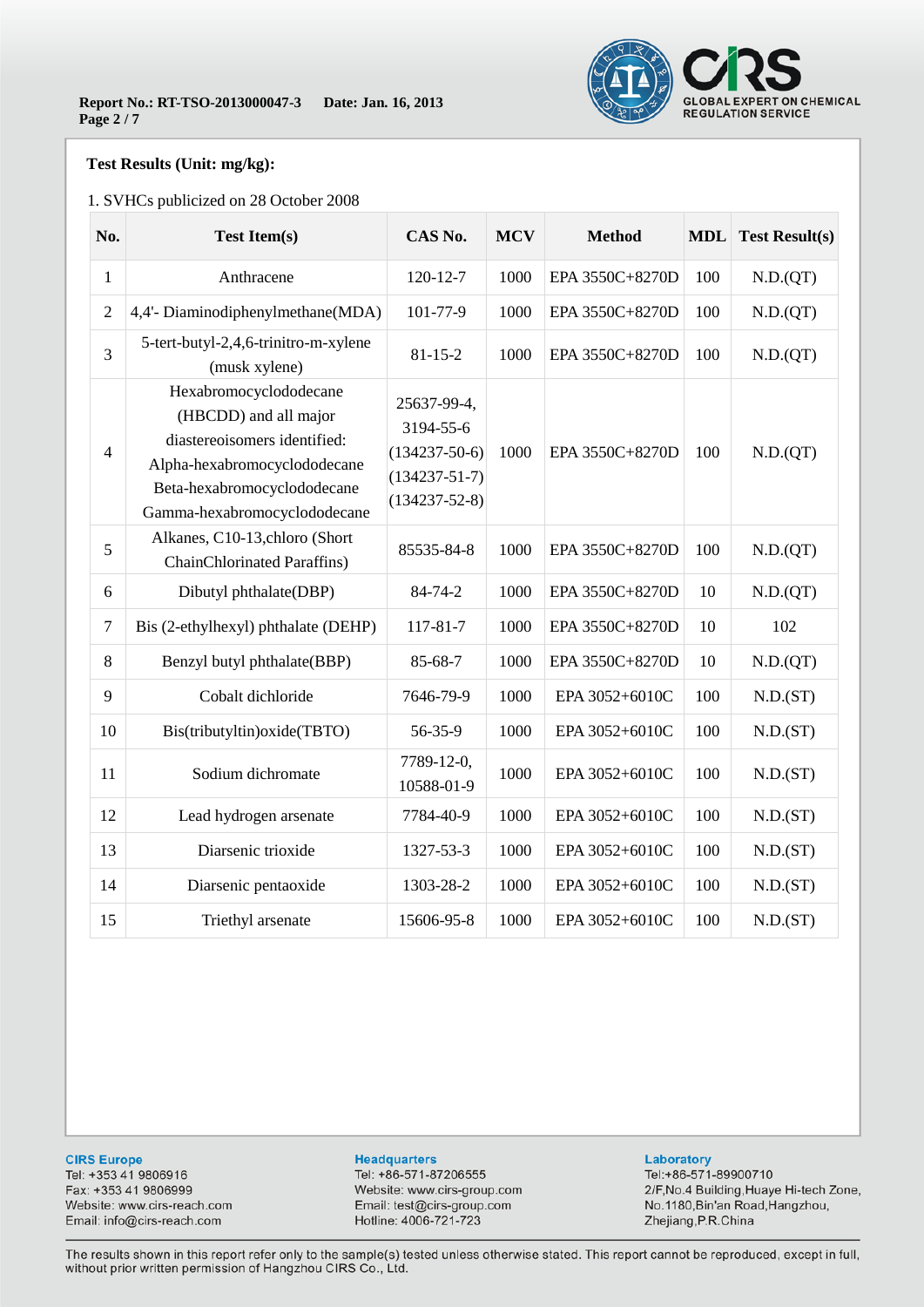

### **Test Results (Unit: mg/kg):**

### 1. SVHCs publicized on 28 October 2008

| No.            | <b>Test Item(s)</b>                                                                                                                                                            | CAS No.                                                                                       | <b>MCV</b> | <b>Method</b>   | <b>MDL</b> | <b>Test Result(s)</b> |
|----------------|--------------------------------------------------------------------------------------------------------------------------------------------------------------------------------|-----------------------------------------------------------------------------------------------|------------|-----------------|------------|-----------------------|
| $\mathbf{1}$   | Anthracene                                                                                                                                                                     | $120 - 12 - 7$                                                                                | 1000       | EPA 3550C+8270D | 100        | N.D.(QT)              |
| $\sqrt{2}$     | 4,4'- Diaminodiphenylmethane(MDA)                                                                                                                                              | 101-77-9                                                                                      | 1000       | EPA 3550C+8270D | 100        | N.D.(QT)              |
| 3              | 5-tert-butyl-2,4,6-trinitro-m-xylene<br>(musk xylene)                                                                                                                          | $81 - 15 - 2$                                                                                 | 1000       | EPA 3550C+8270D | 100        | N.D.(QT)              |
| $\overline{4}$ | Hexabromocyclododecane<br>(HBCDD) and all major<br>diastereoisomers identified:<br>Alpha-hexabromocyclododecane<br>Beta-hexabromocyclododecane<br>Gamma-hexabromocyclododecane | 25637-99-4,<br>3194-55-6<br>$(134237 - 50 - 6)$<br>$(134237 - 51 - 7)$<br>$(134237 - 52 - 8)$ | 1000       | EPA 3550C+8270D | 100        | N.D.(QT)              |
| 5              | Alkanes, C10-13, chloro (Short<br><b>ChainChlorinated Paraffins</b> )                                                                                                          | 85535-84-8                                                                                    | 1000       | EPA 3550C+8270D | 100        | N.D.(QT)              |
| 6              | Dibutyl phthalate(DBP)                                                                                                                                                         | 84-74-2                                                                                       | 1000       | EPA 3550C+8270D | 10         | N.D.(QT)              |
| $\overline{7}$ | Bis (2-ethylhexyl) phthalate (DEHP)                                                                                                                                            | $117 - 81 - 7$                                                                                | 1000       | EPA 3550C+8270D | 10         | 102                   |
| 8              | Benzyl butyl phthalate(BBP)                                                                                                                                                    | 85-68-7                                                                                       | 1000       | EPA 3550C+8270D | 10         | N.D.(QT)              |
| 9              | Cobalt dichloride                                                                                                                                                              | 7646-79-9                                                                                     | 1000       | EPA 3052+6010C  | 100        | N.D.(ST)              |
| 10             | Bis(tributyltin) oxide(TBTO)                                                                                                                                                   | 56-35-9                                                                                       | 1000       | EPA 3052+6010C  | 100        | N.D.(ST)              |
| 11             | Sodium dichromate                                                                                                                                                              | 7789-12-0,<br>10588-01-9                                                                      | 1000       | EPA 3052+6010C  | 100        | N.D.(ST)              |
| 12             | Lead hydrogen arsenate                                                                                                                                                         | 7784-40-9                                                                                     | 1000       | EPA 3052+6010C  | 100        | N.D.(ST)              |
| 13             | Diarsenic trioxide                                                                                                                                                             | 1327-53-3                                                                                     | 1000       | EPA 3052+6010C  | 100        | N.D.(ST)              |
| 14             | Diarsenic pentaoxide                                                                                                                                                           | 1303-28-2                                                                                     | 1000       | EPA 3052+6010C  | 100        | N.D.(ST)              |
| 15             | Triethyl arsenate                                                                                                                                                              | 15606-95-8                                                                                    | 1000       | EPA 3052+6010C  | 100        | N.D.(ST)              |

**CIRS Europe** 

Tel: +353 41 9806916 Fax: +353 41 9806999 Website: www.cirs-reach.com Email: info@cirs-reach.com

#### **Headquarters**

Tel: +86-571-87206555 Website: www.cirs-group.com Email: test@cirs-group.com Hotline: 4006-721-723

#### Laboratory

Tel:+86-571-89900710 2/F, No.4 Building, Huaye Hi-tech Zone, No.1180, Bin'an Road, Hangzhou, Zhejiang, P.R.China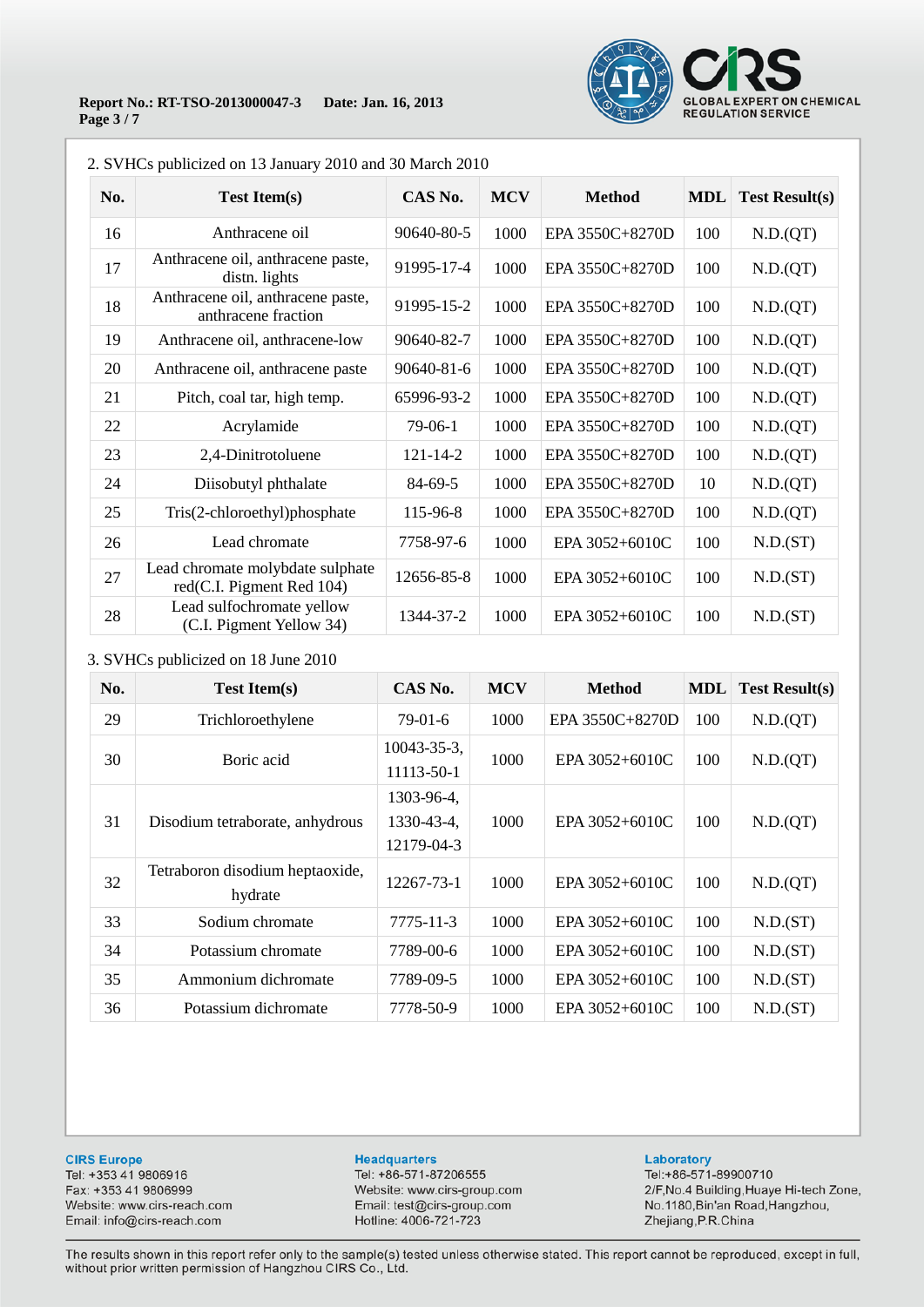

### **Report No.: RT-TSO-2013000047-3 Date: Jan. 16, 2013 Page 3 / 7**

| No. | <b>Test Item(s)</b>                                           | CAS No.        | <b>MCV</b> | <b>Method</b>   | <b>MDL</b> | <b>Test Result(s)</b> |
|-----|---------------------------------------------------------------|----------------|------------|-----------------|------------|-----------------------|
| 16  | Anthracene oil                                                | 90640-80-5     | 1000       | EPA 3550C+8270D | 100        | N.D.(QT)              |
| 17  | Anthracene oil, anthracene paste,<br>distn. lights            | 91995-17-4     | 1000       | EPA 3550C+8270D | 100        | N.D.(QT)              |
| 18  | Anthracene oil, anthracene paste,<br>anthracene fraction      | 91995-15-2     | 1000       | EPA 3550C+8270D | 100        | N.D.(QT)              |
| 19  | Anthracene oil, anthracene-low                                | 90640-82-7     | 1000       | EPA 3550C+8270D | 100        | N.D.(QT)              |
| 20  | Anthracene oil, anthracene paste                              | 90640-81-6     | 1000       | EPA 3550C+8270D | 100        | N.D.(QT)              |
| 21  | Pitch, coal tar, high temp.                                   | 65996-93-2     | 1000       | EPA 3550C+8270D | 100        | N.D.(QT)              |
| 22  | Acrylamide                                                    | 79-06-1        | 1000       | EPA 3550C+8270D | 100        | N.D.(QT)              |
| 23  | 2,4-Dinitrotoluene                                            | $121 - 14 - 2$ | 1000       | EPA 3550C+8270D | 100        | N.D.(QT)              |
| 24  | Diisobutyl phthalate                                          | 84-69-5        | 1000       | EPA 3550C+8270D | 10         | N.D.(QT)              |
| 25  | Tris(2-chloroethyl)phosphate                                  | 115-96-8       | 1000       | EPA 3550C+8270D | 100        | N.D.(QT)              |
| 26  | Lead chromate                                                 | 7758-97-6      | 1000       | EPA 3052+6010C  | 100        | N.D.(ST)              |
| 27  | Lead chromate molybdate sulphate<br>red(C.I. Pigment Red 104) | 12656-85-8     | 1000       | EPA 3052+6010C  | 100        | N.D.(ST)              |
| 28  | Lead sulfochromate yellow<br>(C.I. Pigment Yellow 34)         | 1344-37-2      | 1000       | EPA 3052+6010C  | 100        | N.D.(ST)              |

2. SVHCs publicized on 13 January 2010 and 30 March 2010

### 3. SVHCs publicized on 18 June 2010

| No. | <b>Test Item(s)</b>                        | CAS No.                                | <b>MCV</b> | <b>Method</b>   | <b>MDL</b> | Test Result(s) |
|-----|--------------------------------------------|----------------------------------------|------------|-----------------|------------|----------------|
| 29  | Trichloroethylene                          | $79-01-6$                              | 1000       | EPA 3550C+8270D | 100        | N.D.(QT)       |
| 30  | Boric acid                                 | $10043 - 35 - 3$ ,<br>11113-50-1       | 1000       | EPA 3052+6010C  | 100        | N.D.(QT)       |
| 31  | Disodium tetraborate, anhydrous            | 1303-96-4,<br>1330-43-4,<br>12179-04-3 | 1000       | EPA 3052+6010C  | 100        | N.D.(QT)       |
| 32  | Tetraboron disodium heptaoxide,<br>hydrate | 12267-73-1                             | 1000       | EPA 3052+6010C  | 100        | N.D.(QT)       |
| 33  | Sodium chromate                            | 7775-11-3                              | 1000       | EPA 3052+6010C  | 100        | N.D.(ST)       |
| 34  | Potassium chromate                         | 7789-00-6                              | 1000       | EPA 3052+6010C  | 100        | N.D.(ST)       |
| 35  | Ammonium dichromate                        | 7789-09-5                              | 1000       | EPA 3052+6010C  | 100        | N.D.(ST)       |
| 36  | Potassium dichromate                       | 7778-50-9                              | 1000       | EPA 3052+6010C  | 100        | N.D.(ST)       |

**CIRS Europe** 

Tel: +353 41 9806916 Fax: +353 41 9806999 Website: www.cirs-reach.com Email: info@cirs-reach.com

#### **Headquarters**

Tel: +86-571-87206555 Website: www.cirs-group.com Email: test@cirs-group.com Hotline: 4006-721-723

#### Laboratory

Tel:+86-571-89900710 2/F, No.4 Building, Huaye Hi-tech Zone, No.1180, Bin'an Road, Hangzhou, Zhejiang, P.R.China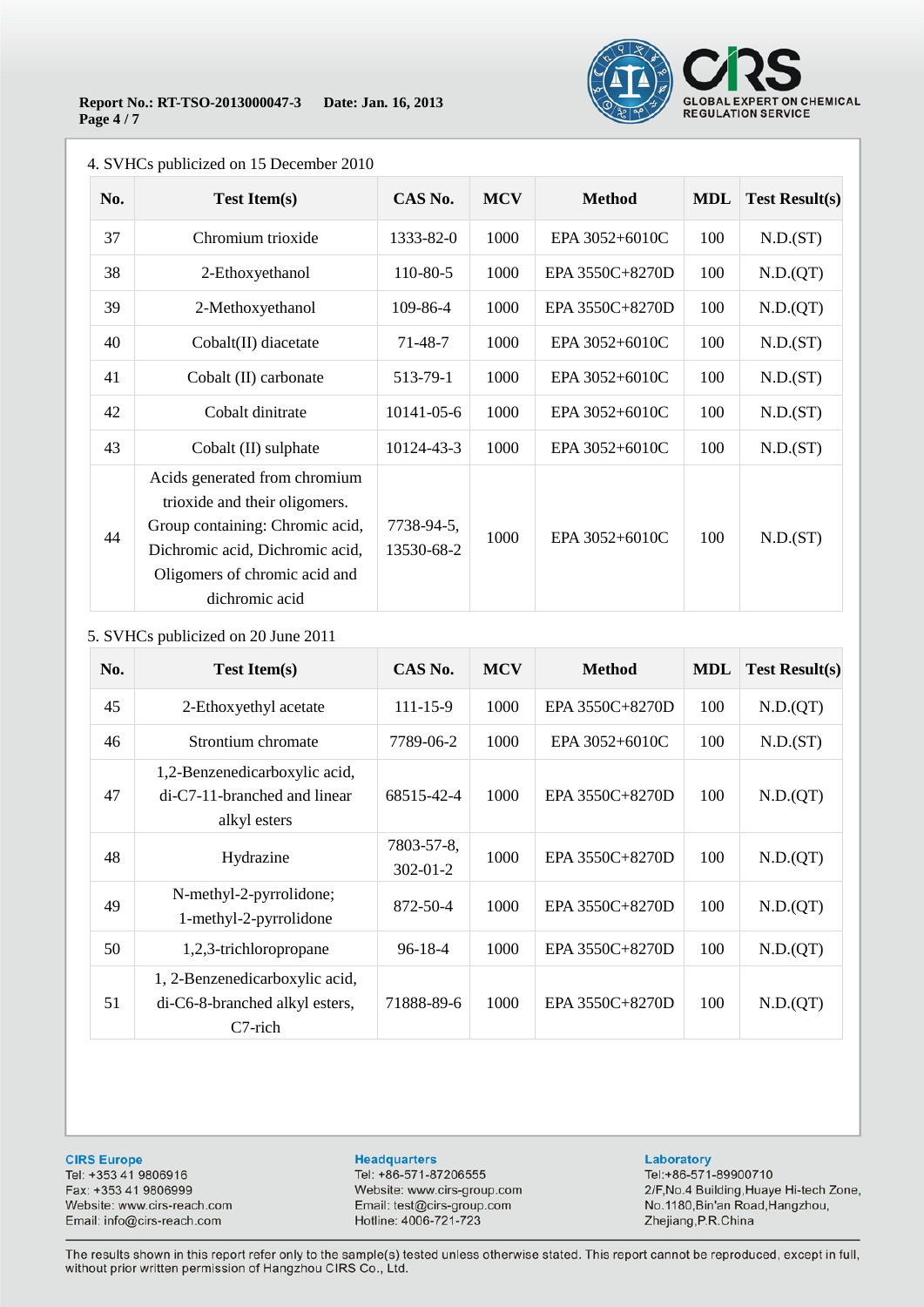

| No. | <b>Test Item(s)</b>                                                                                                                                                                     | CAS No.                  | <b>MCV</b> | <b>Method</b>   | <b>MDL</b> | <b>Test Result(s)</b> |
|-----|-----------------------------------------------------------------------------------------------------------------------------------------------------------------------------------------|--------------------------|------------|-----------------|------------|-----------------------|
| 37  | Chromium trioxide                                                                                                                                                                       | 1333-82-0                | 1000       | EPA 3052+6010C  | 100        | N.D.(ST)              |
| 38  | 2-Ethoxyethanol                                                                                                                                                                         | 110-80-5                 | 1000       | EPA 3550C+8270D | 100        | N.D.(QT)              |
| 39  | 2-Methoxyethanol                                                                                                                                                                        | 109-86-4                 | 1000       | EPA 3550C+8270D | 100        | N.D.(QT)              |
| 40  | Cobalt(II) diacetate                                                                                                                                                                    | $71 - 48 - 7$            | 1000       | EPA 3052+6010C  | 100        | N.D.(ST)              |
| 41  | Cobalt (II) carbonate                                                                                                                                                                   | 513-79-1                 | 1000       | EPA 3052+6010C  | 100        | N.D.(ST)              |
| 42  | Cobalt dinitrate                                                                                                                                                                        | 10141-05-6               | 1000       | EPA 3052+6010C  | 100        | N.D.(ST)              |
| 43  | Cobalt (II) sulphate                                                                                                                                                                    | 10124-43-3               | 1000       | EPA 3052+6010C  | 100        | N.D.(ST)              |
| 44  | Acids generated from chromium<br>trioxide and their oligomers.<br>Group containing: Chromic acid,<br>Dichromic acid, Dichromic acid,<br>Oligomers of chromic acid and<br>dichromic acid | 7738-94-5,<br>13530-68-2 | 1000       | EPA 3052+6010C  | 100        | N.D.(ST)              |

### 4. SVHCs publicized on 15 December 2010

### 5. SVHCs publicized on 20 June 2011

| No. | <b>Test Item(s)</b>                                                           | CAS No.                      | <b>MCV</b> | <b>Method</b>   | <b>MDL</b> | <b>Test Result(s)</b> |
|-----|-------------------------------------------------------------------------------|------------------------------|------------|-----------------|------------|-----------------------|
| 45  | 2-Ethoxyethyl acetate                                                         | $111 - 15 - 9$               | 1000       | EPA 3550C+8270D | 100        | N.D.(QT)              |
| 46  | Strontium chromate                                                            | 7789-06-2                    | 1000       | EPA 3052+6010C  | 100        | N.D.(ST)              |
| 47  | 1,2-Benzenedicarboxylic acid,<br>di-C7-11-branched and linear<br>alkyl esters | 68515-42-4                   | 1000       | EPA 3550C+8270D | 100        | N.D.(QT)              |
| 48  | Hydrazine                                                                     | 7803-57-8,<br>$302 - 01 - 2$ | 1000       | EPA 3550C+8270D | 100        | N.D.(QT)              |
| 49  | N-methyl-2-pyrrolidone;<br>1-methyl-2-pyrrolidone                             | 872-50-4                     | 1000       | EPA 3550C+8270D | 100        | N.D.(QT)              |
| 50  | 1,2,3-trichloropropane                                                        | $96 - 18 - 4$                | 1000       | EPA 3550C+8270D | 100        | N.D.(QT)              |
| 51  | 1, 2-Benzenedicarboxylic acid,<br>di-C6-8-branched alkyl esters,<br>C7-rich   | 71888-89-6                   | 1000       | EPA 3550C+8270D | 100        | N.D.(QT)              |

**CIRS Europe** 

Tel: +353 41 9806916 Fax: +353 41 9806999 Website: www.cirs-reach.com Email: info@cirs-reach.com

#### **Headquarters**

Tel: +86-571-87206555 Website: www.cirs-group.com Email: test@cirs-group.com Hotline: 4006-721-723

#### Laboratory

Tel:+86-571-89900710 2/F, No.4 Building, Huaye Hi-tech Zone, No.1180, Bin'an Road, Hangzhou, Zhejiang, P.R.China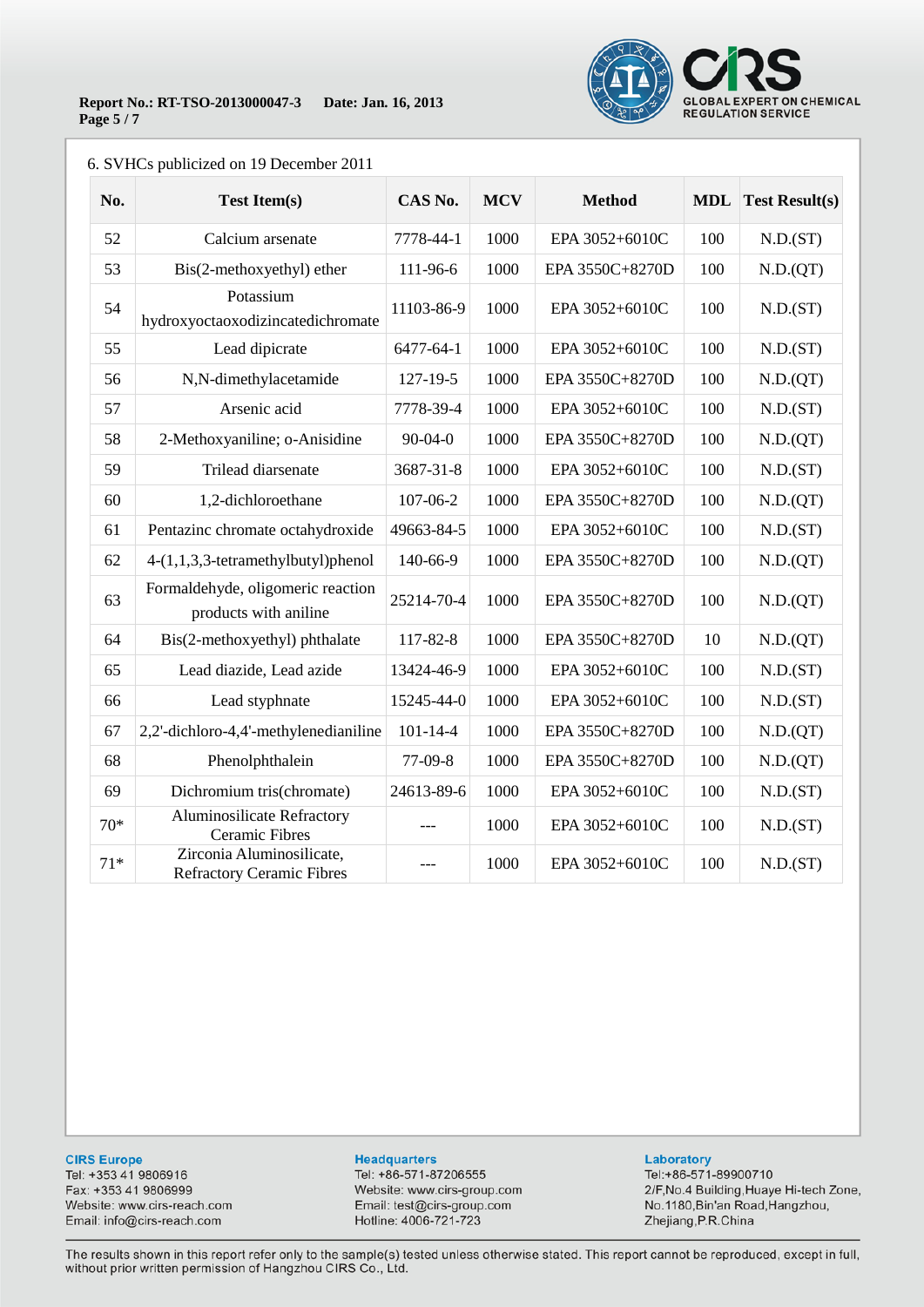

### 6. SVHCs publicized on 19 December 2011

| No.   | <b>Test Item(s)</b>                                           | CAS No.        | <b>MCV</b> | <b>Method</b>   | <b>MDL</b> | <b>Test Result(s)</b> |
|-------|---------------------------------------------------------------|----------------|------------|-----------------|------------|-----------------------|
| 52    | Calcium arsenate                                              | 7778-44-1      | 1000       | EPA 3052+6010C  | 100        | N.D.(ST)              |
| 53    | Bis(2-methoxyethyl) ether                                     | 111-96-6       | 1000       | EPA 3550C+8270D | 100        | N.D.(QT)              |
| 54    | Potassium<br>hydroxyoctaoxodizincatedichromate                | 11103-86-9     | 1000       | EPA 3052+6010C  | 100        | N.D.(ST)              |
| 55    | Lead dipicrate                                                | 6477-64-1      | 1000       | EPA 3052+6010C  | 100        | N.D.(ST)              |
| 56    | N,N-dimethylacetamide                                         | $127 - 19 - 5$ | 1000       | EPA 3550C+8270D | 100        | N.D.(QT)              |
| 57    | Arsenic acid                                                  | 7778-39-4      | 1000       | EPA 3052+6010C  | 100        | N.D.(ST)              |
| 58    | 2-Methoxyaniline; o-Anisidine                                 | $90 - 04 - 0$  | 1000       | EPA 3550C+8270D | 100        | N.D.(QT)              |
| 59    | Trilead diarsenate                                            | 3687-31-8      | 1000       | EPA 3052+6010C  | 100        | N.D.(ST)              |
| 60    | 1,2-dichloroethane                                            | 107-06-2       | 1000       | EPA 3550C+8270D | 100        | N.D.(QT)              |
| 61    | Pentazinc chromate octahydroxide                              | 49663-84-5     | 1000       | EPA 3052+6010C  | 100        | N.D.(ST)              |
| 62    | 4-(1,1,3,3-tetramethylbutyl)phenol                            | 140-66-9       | 1000       | EPA 3550C+8270D | 100        | N.D.(QT)              |
| 63    | Formaldehyde, oligomeric reaction<br>products with aniline    | 25214-70-4     | 1000       | EPA 3550C+8270D | 100        | N.D.(QT)              |
| 64    | Bis(2-methoxyethyl) phthalate                                 | 117-82-8       | 1000       | EPA 3550C+8270D | 10         | N.D.(QT)              |
| 65    | Lead diazide, Lead azide                                      | 13424-46-9     | 1000       | EPA 3052+6010C  | 100        | N.D.(ST)              |
| 66    | Lead styphnate                                                | 15245-44-0     | 1000       | EPA 3052+6010C  | 100        | N.D.(ST)              |
| 67    | 2,2'-dichloro-4,4'-methylenedianiline                         | $101 - 14 - 4$ | 1000       | EPA 3550C+8270D | 100        | N.D.(QT)              |
| 68    | Phenolphthalein                                               | 77-09-8        | 1000       | EPA 3550C+8270D | 100        | N.D.(QT)              |
| 69    | Dichromium tris(chromate)                                     | 24613-89-6     | 1000       | EPA 3052+6010C  | 100        | N.D.(ST)              |
| $70*$ | Aluminosilicate Refractory<br><b>Ceramic Fibres</b>           | ---            | 1000       | EPA 3052+6010C  | 100        | N.D.(ST)              |
| $71*$ | Zirconia Aluminosilicate,<br><b>Refractory Ceramic Fibres</b> | ---            | 1000       | EPA 3052+6010C  | 100        | N.D.(ST)              |

#### **CIRS Europe**

Tel: +353 41 9806916 Fax: +353 41 9806999 Website: www.cirs-reach.com Email: info@cirs-reach.com

#### **Headquarters**

Tel: +86-571-87206555 Website: www.cirs-group.com Email: test@cirs-group.com Hotline: 4006-721-723

#### Laboratory

Tel:+86-571-89900710 2/F, No.4 Building, Huaye Hi-tech Zone, No.1180, Bin'an Road, Hangzhou, Zhejiang, P.R.China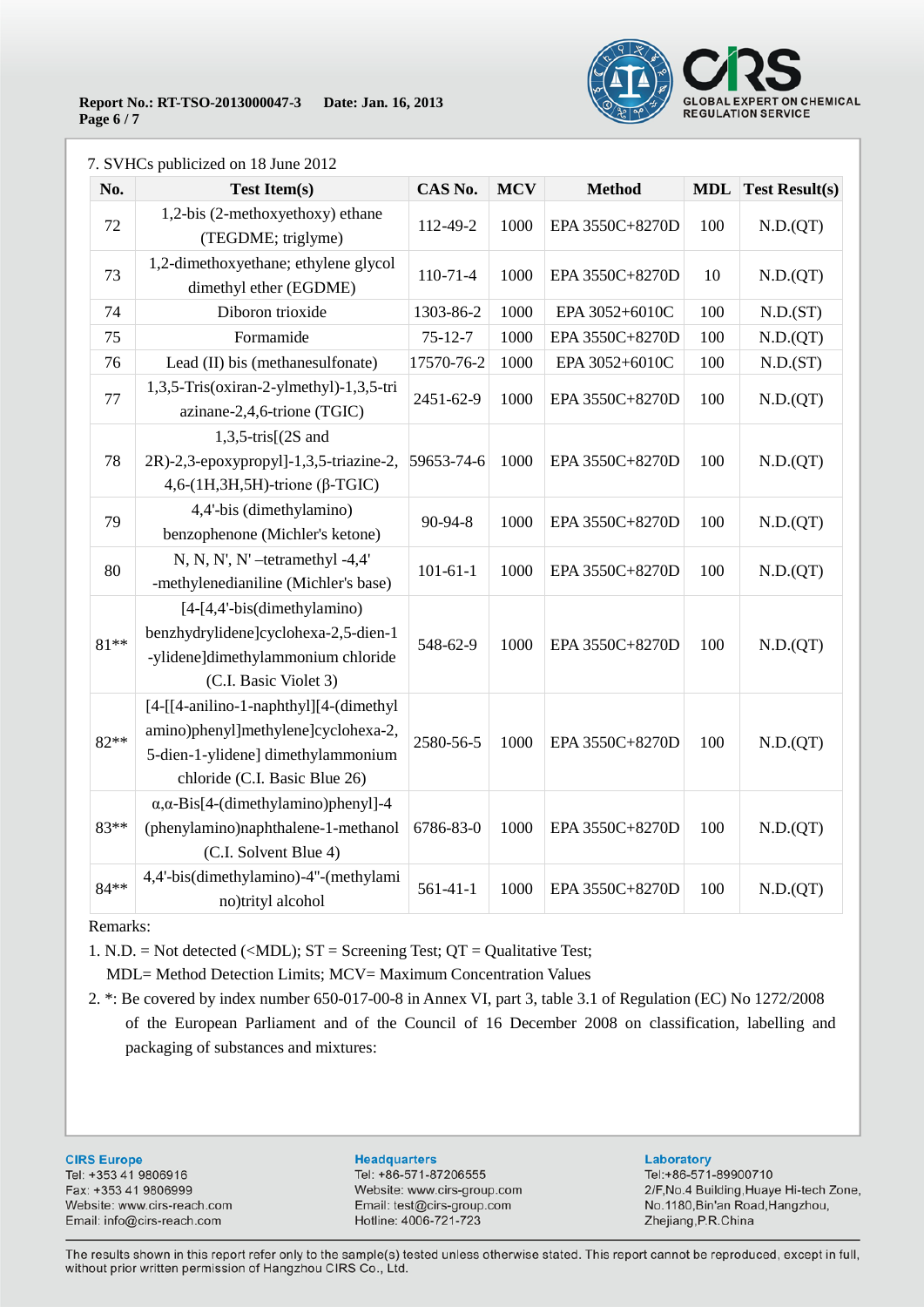

|        | $\overline{S}$ v TICs publicized on To June 2012                                                                                                      |                |            |                 |            |                       |
|--------|-------------------------------------------------------------------------------------------------------------------------------------------------------|----------------|------------|-----------------|------------|-----------------------|
| No.    | <b>Test Item(s)</b>                                                                                                                                   | CAS No.        | <b>MCV</b> | <b>Method</b>   | <b>MDL</b> | <b>Test Result(s)</b> |
| 72     | 1,2-bis (2-methoxyethoxy) ethane<br>(TEGDME; triglyme)                                                                                                | 112-49-2       | 1000       | EPA 3550C+8270D | 100        | N.D.(QT)              |
| 73     | 1,2-dimethoxyethane; ethylene glycol<br>dimethyl ether (EGDME)                                                                                        | $110 - 71 - 4$ | 1000       | EPA 3550C+8270D | 10         | N.D.(QT)              |
| 74     | Diboron trioxide                                                                                                                                      | 1303-86-2      | 1000       | EPA 3052+6010C  | 100        | N.D.(ST)              |
| 75     | Formamide                                                                                                                                             | $75 - 12 - 7$  | 1000       | EPA 3550C+8270D | 100        | N.D.(QT)              |
| 76     | Lead (II) bis (methanesulfonate)                                                                                                                      | 17570-76-2     | 1000       | EPA 3052+6010C  | 100        | N.D.(ST)              |
| 77     | 1,3,5-Tris(oxiran-2-ylmethyl)-1,3,5-tri<br>azinane-2,4,6-trione (TGIC)                                                                                | 2451-62-9      | 1000       | EPA 3550C+8270D | 100        | N.D.(QT)              |
| 78     | $1,3,5$ -tris $(2S \text{ and }$<br>2R)-2,3-epoxypropyl]-1,3,5-triazine-2,<br>$4,6-(1H,3H,5H)$ -trione ( $\beta$ -TGIC)                               | 59653-74-6     | 1000       | EPA 3550C+8270D | 100        | N.D.(QT)              |
| 79     | 4,4'-bis (dimethylamino)<br>benzophenone (Michler's ketone)                                                                                           | $90 - 94 - 8$  | 1000       | EPA 3550C+8270D | 100        | N.D.(QT)              |
| 80     | N, N, N', N' $-$ tetramethyl $-4,4$ '<br>-methylenedianiline (Michler's base)                                                                         | $101 - 61 - 1$ | 1000       | EPA 3550C+8270D | 100        | N.D.(QT)              |
| 81**   | [4-[4,4'-bis(dimethylamino)<br>benzhydrylidene]cyclohexa-2,5-dien-1<br>-ylidene]dimethylammonium chloride<br>(C.I. Basic Violet 3)                    | 548-62-9       | 1000       | EPA 3550C+8270D | 100        | N.D.(QT)              |
| $82**$ | [4-[[4-anilino-1-naphthyl][4-(dimethyl]<br>amino)phenyl]methylene]cyclohexa-2,<br>5-dien-1-ylidene] dimethylammonium<br>chloride (C.I. Basic Blue 26) | 2580-56-5      | 1000       | EPA 3550C+8270D | 100        | N.D.(QT)              |
| 83**   | $\alpha$ , $\alpha$ -Bis[4-(dimethylamino)phenyl]-4<br>(phenylamino)naphthalene-1-methanol                                                            | 6786-83-0      | 1000       | EPA 3550C+8270D | 100        | N.D.(QT)              |

### 7. SVHCs publicized on 18 June 2012

Remarks:

1. N.D. = Not detected  $(\langle MDL \rangle; ST = Screening Test; QT = Qualitative Test;$ 

(C.I. Solvent Blue 4)

84\*\* 4,4'-bis(dimethylamino)-4"-(methylami no)trityl alcohol

MDL= Method Detection Limits; MCV= Maximum Concentration Values

2. \*: Be covered by index number 650-017-00-8 in Annex VI, part 3, table 3.1 of Regulation (EC) No 1272/2008 of the European Parliament and of the Council of 16 December 2008 on classification, labelling and packaging of substances and mixtures:

**CIRS Europe** Tel: +353 41 9806916 Fax: +353 41 9806999 Website: www.cirs-reach.com Email: info@cirs-reach.com

#### **Headquarters**

Tel: +86-571-87206555 Website: www.cirs-group.com Email: test@cirs-group.com Hotline: 4006-721-723

## Laboratory

561-41-1 1000 EPA 3550C+8270D 100 N.D.(QT)

Tel:+86-571-89900710 2/F, No.4 Building, Huaye Hi-tech Zone, No.1180, Bin'an Road, Hangzhou, Zhejiang, P.R.China